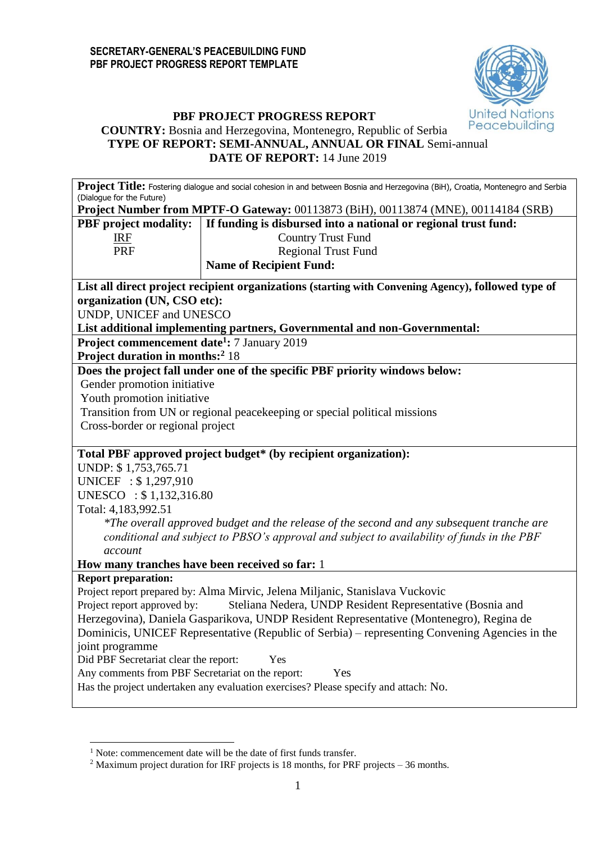

### **PBF PROJECT PROGRESS REPORT COUNTRY:** Bosnia and Herzegovina, Montenegro, Republic of Serbia **TYPE OF REPORT: SEMI-ANNUAL, ANNUAL OR FINAL** Semi-annual **DATE OF REPORT:** 14 June 2019

Proiect Title: Fostering dialogue and social cohesion in and between Bosnia and Herzegovina (BiH), Croatia, Montenegro and Serbia (Dialogue for the Future)

**Project Number from MPTF-O Gateway:** 00113873 (BiH), 00113874 (MNE), 00114184 (SRB)

|  |  | PBF project modality:   If funding is disbursed into a national or regional trust fund: |
|--|--|-----------------------------------------------------------------------------------------|
|--|--|-----------------------------------------------------------------------------------------|

| IRE |  |
|-----|--|
| PRF |  |
|     |  |

Country Trust Fund Regional Trust Fund **Name of Recipient Fund:**

**List all direct project recipient organizations (starting with Convening Agency), followed type of organization (UN, CSO etc):** 

UNDP, UNICEF and UNESCO

**List additional implementing partners, Governmental and non-Governmental:**

**Project commencement date<sup>1</sup> :** 7 January 2019

**Project duration in months:<sup>2</sup>** 18

**Does the project fall under one of the specific PBF priority windows below:**

Gender promotion initiative

Youth promotion initiative

Transition from UN or regional peacekeeping or special political missions

Cross-border or regional project

## **Total PBF approved project budget\* (by recipient organization):**

UNDP: \$ 1,753,765.71 UNICEF : \$ 1,297,910 UNESCO : \$ 1,132,316.80 Total: 4,183,992.51

> *\*The overall approved budget and the release of the second and any subsequent tranche are conditional and subject to PBSO's approval and subject to availability of funds in the PBF account*

**How many tranches have been received so far:** 1

## **Report preparation:**

**.** 

Project report prepared by: Alma Mirvic, Jelena Miljanic, Stanislava Vuckovic Project report approved by: Steliana Nedera, UNDP Resident Representative (Bosnia and Herzegovina), Daniela Gasparikova, UNDP Resident Representative (Montenegro), Regina de Dominicis, UNICEF Representative (Republic of Serbia) – representing Convening Agencies in the joint programme Did PBF Secretariat clear the report: Yes Any comments from PBF Secretariat on the report: Yes

Has the project undertaken any evaluation exercises? Please specify and attach: No.

<sup>&</sup>lt;sup>1</sup> Note: commencement date will be the date of first funds transfer.

<sup>&</sup>lt;sup>2</sup> Maximum project duration for IRF projects is 18 months, for PRF projects – 36 months.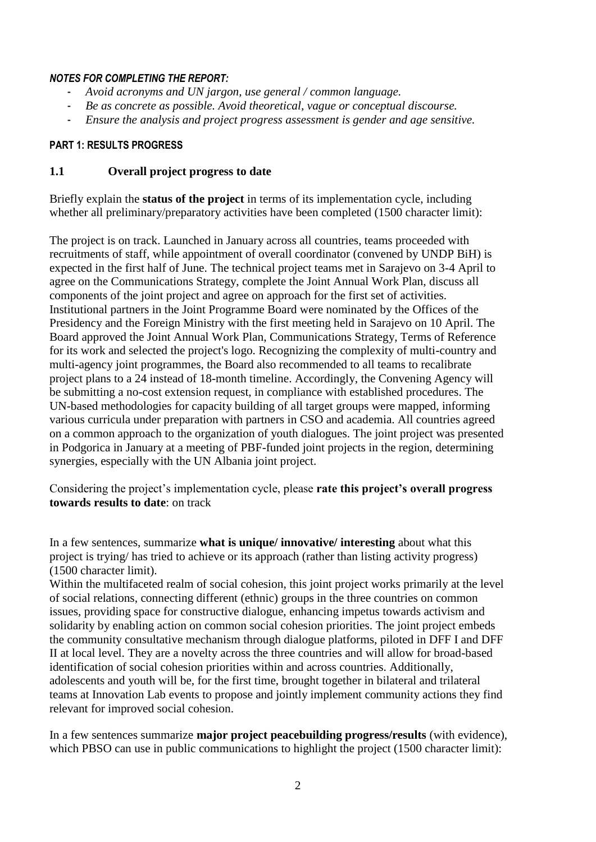### *NOTES FOR COMPLETING THE REPORT:*

- *Avoid acronyms and UN jargon, use general / common language.*
- *Be as concrete as possible. Avoid theoretical, vague or conceptual discourse.*
- *Ensure the analysis and project progress assessment is gender and age sensitive.*

#### **PART 1: RESULTS PROGRESS**

#### **1.1 Overall project progress to date**

Briefly explain the **status of the project** in terms of its implementation cycle, including whether all preliminary/preparatory activities have been completed (1500 character limit):

The project is on track. Launched in January across all countries, teams proceeded with recruitments of staff, while appointment of overall coordinator (convened by UNDP BiH) is expected in the first half of June. The technical project teams met in Sarajevo on 3-4 April to agree on the Communications Strategy, complete the Joint Annual Work Plan, discuss all components of the joint project and agree on approach for the first set of activities. Institutional partners in the Joint Programme Board were nominated by the Offices of the Presidency and the Foreign Ministry with the first meeting held in Sarajevo on 10 April. The Board approved the Joint Annual Work Plan, Communications Strategy, Terms of Reference for its work and selected the project's logo. Recognizing the complexity of multi-country and multi-agency joint programmes, the Board also recommended to all teams to recalibrate project plans to a 24 instead of 18-month timeline. Accordingly, the Convening Agency will be submitting a no-cost extension request, in compliance with established procedures. The UN-based methodologies for capacity building of all target groups were mapped, informing various curricula under preparation with partners in CSO and academia. All countries agreed on a common approach to the organization of youth dialogues. The joint project was presented in Podgorica in January at a meeting of PBF-funded joint projects in the region, determining synergies, especially with the UN Albania joint project.

Considering the project's implementation cycle, please **rate this project's overall progress towards results to date**: on track

In a few sentences, summarize **what is unique/ innovative/ interesting** about what this project is trying/ has tried to achieve or its approach (rather than listing activity progress) (1500 character limit).

Within the multifaceted realm of social cohesion, this joint project works primarily at the level of social relations, connecting different (ethnic) groups in the three countries on common issues, providing space for constructive dialogue, enhancing impetus towards activism and solidarity by enabling action on common social cohesion priorities. The joint project embeds the community consultative mechanism through dialogue platforms, piloted in DFF I and DFF II at local level. They are a novelty across the three countries and will allow for broad-based identification of social cohesion priorities within and across countries. Additionally, adolescents and youth will be, for the first time, brought together in bilateral and trilateral teams at Innovation Lab events to propose and jointly implement community actions they find relevant for improved social cohesion.

In a few sentences summarize **major project peacebuilding progress/results** (with evidence), which PBSO can use in public communications to highlight the project (1500 character limit):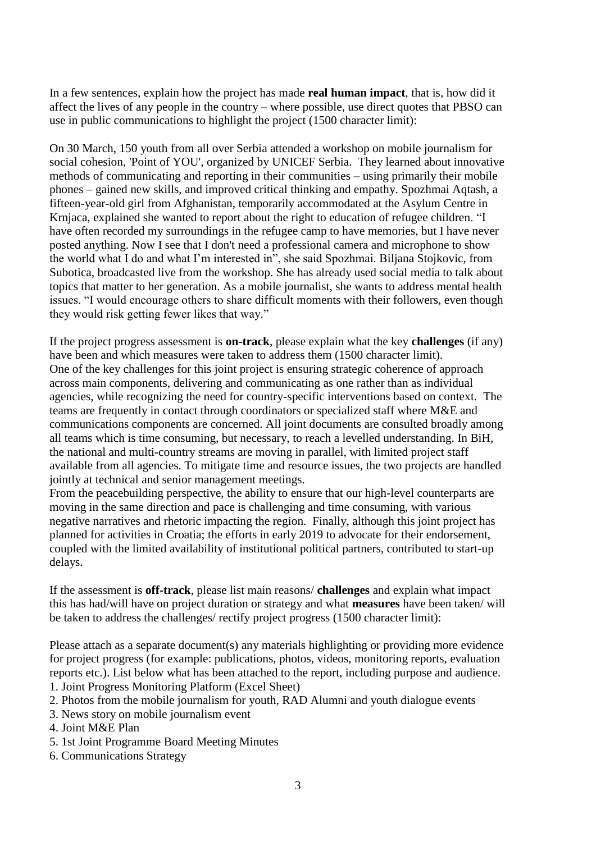In a few sentences, explain how the project has made **real human impact**, that is, how did it affect the lives of any people in the country – where possible, use direct quotes that PBSO can use in public communications to highlight the project (1500 character limit):

On 30 March, 150 youth from all over Serbia attended a workshop on mobile journalism for social cohesion, 'Point of YOU', organized by UNICEF Serbia. They learned about innovative methods of communicating and reporting in their communities – using primarily their mobile phones – gained new skills, and improved critical thinking and empathy. Spozhmai Aqtash, a fifteen-year-old girl from Afghanistan, temporarily accommodated at the Asylum Centre in Krnjaca, explained she wanted to report about the right to education of refugee children. "I have often recorded my surroundings in the refugee camp to have memories, but I have never posted anything. Now I see that I don't need a professional camera and microphone to show the world what I do and what I'm interested in", she said Spozhmai. Biljana Stojkovic, from Subotica, broadcasted live from the workshop. She has already used social media to talk about topics that matter to her generation. As a mobile journalist, she wants to address mental health issues. "I would encourage others to share difficult moments with their followers, even though they would risk getting fewer likes that way."

If the project progress assessment is **on-track**, please explain what the key **challenges** (if any) have been and which measures were taken to address them (1500 character limit). One of the key challenges for this joint project is ensuring strategic coherence of approach across main components, delivering and communicating as one rather than as individual agencies, while recognizing the need for country-specific interventions based on context. The teams are frequently in contact through coordinators or specialized staff where M&E and communications components are concerned. All joint documents are consulted broadly among all teams which is time consuming, but necessary, to reach a levelled understanding. In BiH, the national and multi-country streams are moving in parallel, with limited project staff available from all agencies. To mitigate time and resource issues, the two projects are handled jointly at technical and senior management meetings.

From the peacebuilding perspective, the ability to ensure that our high-level counterparts are moving in the same direction and pace is challenging and time consuming, with various negative narratives and rhetoric impacting the region. Finally, although this joint project has planned for activities in Croatia; the efforts in early 2019 to advocate for their endorsement, coupled with the limited availability of institutional political partners, contributed to start-up delays.

If the assessment is **off-track**, please list main reasons/ **challenges** and explain what impact this has had/will have on project duration or strategy and what **measures** have been taken/ will be taken to address the challenges/ rectify project progress (1500 character limit):

Please attach as a separate document(s) any materials highlighting or providing more evidence for project progress (for example: publications, photos, videos, monitoring reports, evaluation reports etc.). List below what has been attached to the report, including purpose and audience. 1. Joint Progress Monitoring Platform (Excel Sheet)

- 2. Photos from the mobile journalism for youth, RAD Alumni and youth dialogue events
- 3. News story on mobile journalism event
- 4. Joint M&E Plan
- 5. 1st Joint Programme Board Meeting Minutes
- 6. Communications Strategy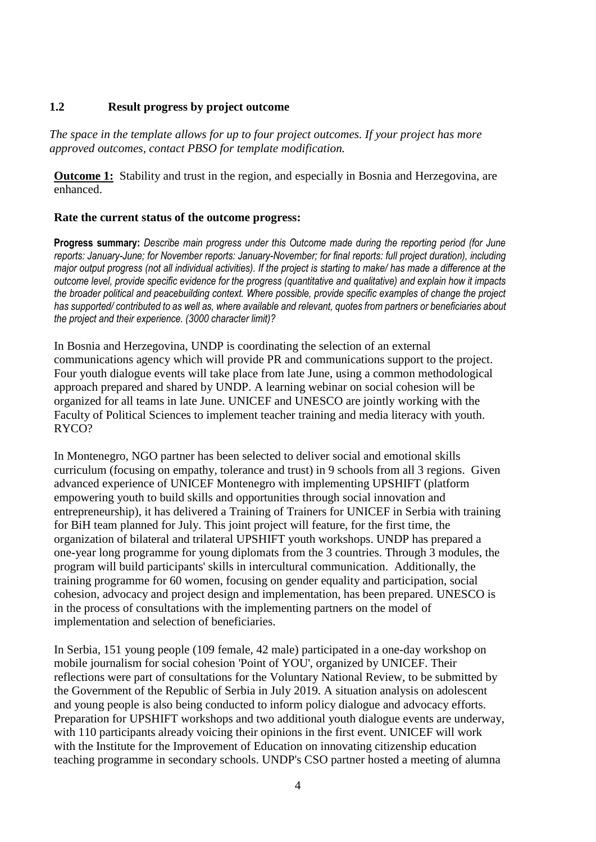## **1.2 Result progress by project outcome**

*The space in the template allows for up to four project outcomes. If your project has more approved outcomes, contact PBSO for template modification.*

**Outcome 1:** Stability and trust in the region, and especially in Bosnia and Herzegovina, are enhanced.

## **Rate the current status of the outcome progress:**

**Progress summary:** *Describe main progress under this Outcome made during the reporting period (for June reports: January-June; for November reports: January-November; for final reports: full project duration), including major output progress (not all individual activities). If the project is starting to make/ has made a difference at the outcome level, provide specific evidence for the progress (quantitative and qualitative) and explain how it impacts the broader political and peacebuilding context. Where possible, provide specific examples of change the project has supported/ contributed to as well as, where available and relevant, quotes from partners or beneficiaries about the project and their experience. (3000 character limit)?* 

In Bosnia and Herzegovina, UNDP is coordinating the selection of an external communications agency which will provide PR and communications support to the project. Four youth dialogue events will take place from late June, using a common methodological approach prepared and shared by UNDP. A learning webinar on social cohesion will be organized for all teams in late June. UNICEF and UNESCO are jointly working with the Faculty of Political Sciences to implement teacher training and media literacy with youth. RYCO?

In Montenegro, NGO partner has been selected to deliver social and emotional skills curriculum (focusing on empathy, tolerance and trust) in 9 schools from all 3 regions. Given advanced experience of UNICEF Montenegro with implementing UPSHIFT (platform empowering youth to build skills and opportunities through social innovation and entrepreneurship), it has delivered a Training of Trainers for UNICEF in Serbia with training for BiH team planned for July. This joint project will feature, for the first time, the organization of bilateral and trilateral UPSHIFT youth workshops. UNDP has prepared a one-year long programme for young diplomats from the 3 countries. Through 3 modules, the program will build participants' skills in intercultural communication. Additionally, the training programme for 60 women, focusing on gender equality and participation, social cohesion, advocacy and project design and implementation, has been prepared. UNESCO is in the process of consultations with the implementing partners on the model of implementation and selection of beneficiaries.

In Serbia, 151 young people (109 female, 42 male) participated in a one-day workshop on mobile journalism for social cohesion 'Point of YOU', organized by UNICEF. Their reflections were part of consultations for the Voluntary National Review, to be submitted by the Government of the Republic of Serbia in July 2019. A situation analysis on adolescent and young people is also being conducted to inform policy dialogue and advocacy efforts. Preparation for UPSHIFT workshops and two additional youth dialogue events are underway, with 110 participants already voicing their opinions in the first event. UNICEF will work with the Institute for the Improvement of Education on innovating citizenship education teaching programme in secondary schools. UNDP's CSO partner hosted a meeting of alumna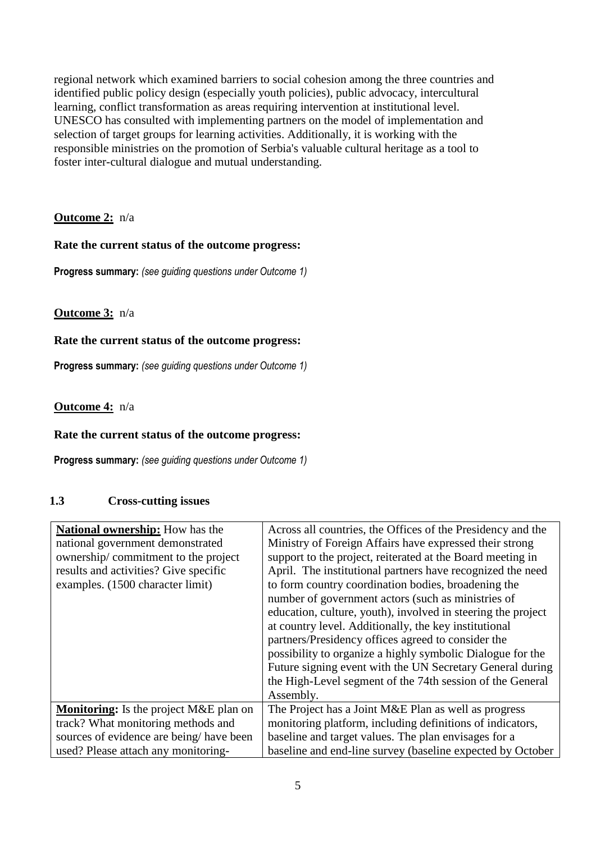regional network which examined barriers to social cohesion among the three countries and identified public policy design (especially youth policies), public advocacy, intercultural learning, conflict transformation as areas requiring intervention at institutional level. UNESCO has consulted with implementing partners on the model of implementation and selection of target groups for learning activities. Additionally, it is working with the responsible ministries on the promotion of Serbia's valuable cultural heritage as a tool to foster inter-cultural dialogue and mutual understanding.

# **Outcome 2:** n/a

## **Rate the current status of the outcome progress:**

**Progress summary:** *(see guiding questions under Outcome 1)* 

## **Outcome 3:** n/a

## **Rate the current status of the outcome progress:**

**Progress summary:** *(see guiding questions under Outcome 1)* 

## **Outcome 4:** n/a

## **Rate the current status of the outcome progress:**

**Progress summary:** *(see guiding questions under Outcome 1)* 

## **1.3 Cross-cutting issues**

| <b>National ownership:</b> How has the<br>national government demonstrated<br>ownership/commitment to the project<br>results and activities? Give specific<br>examples. (1500 character limit) | Across all countries, the Offices of the Presidency and the<br>Ministry of Foreign Affairs have expressed their strong<br>support to the project, reiterated at the Board meeting in<br>April. The institutional partners have recognized the need<br>to form country coordination bodies, broadening the<br>number of government actors (such as ministries of<br>education, culture, youth), involved in steering the project<br>at country level. Additionally, the key institutional<br>partners/Presidency offices agreed to consider the<br>possibility to organize a highly symbolic Dialogue for the<br>Future signing event with the UN Secretary General during |
|------------------------------------------------------------------------------------------------------------------------------------------------------------------------------------------------|---------------------------------------------------------------------------------------------------------------------------------------------------------------------------------------------------------------------------------------------------------------------------------------------------------------------------------------------------------------------------------------------------------------------------------------------------------------------------------------------------------------------------------------------------------------------------------------------------------------------------------------------------------------------------|
|                                                                                                                                                                                                | the High-Level segment of the 74th session of the General<br>Assembly.                                                                                                                                                                                                                                                                                                                                                                                                                                                                                                                                                                                                    |
| <b>Monitoring:</b> Is the project M&E plan on                                                                                                                                                  | The Project has a Joint M&E Plan as well as progress                                                                                                                                                                                                                                                                                                                                                                                                                                                                                                                                                                                                                      |
| track? What monitoring methods and                                                                                                                                                             | monitoring platform, including definitions of indicators,                                                                                                                                                                                                                                                                                                                                                                                                                                                                                                                                                                                                                 |
| sources of evidence are being/have been                                                                                                                                                        | baseline and target values. The plan envisages for a                                                                                                                                                                                                                                                                                                                                                                                                                                                                                                                                                                                                                      |
| used? Please attach any monitoring-                                                                                                                                                            | baseline and end-line survey (baseline expected by October                                                                                                                                                                                                                                                                                                                                                                                                                                                                                                                                                                                                                |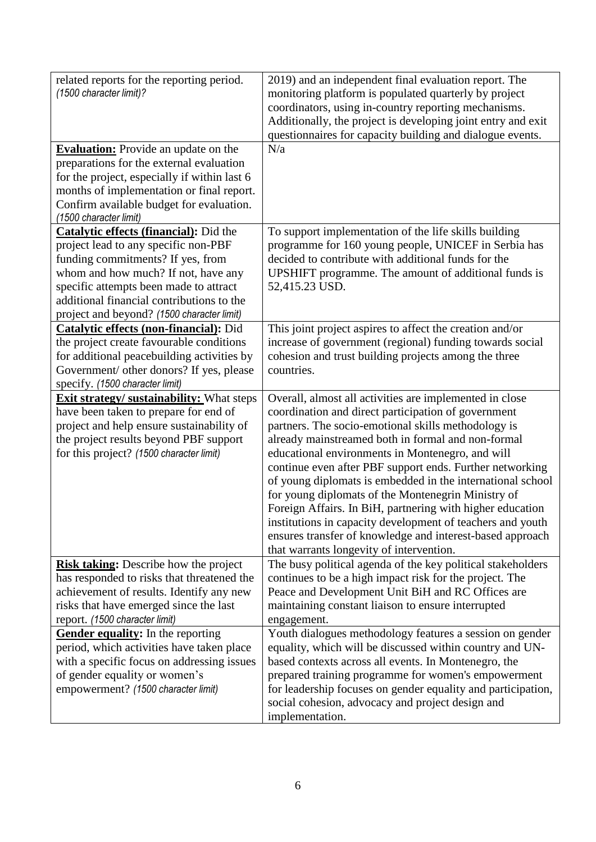| related reports for the reporting period.<br>(1500 character limit)?<br><b>Evaluation:</b> Provide an update on the<br>preparations for the external evaluation<br>for the project, especially if within last 6<br>months of implementation or final report.<br>Confirm available budget for evaluation.<br>(1500 character limit) | 2019) and an independent final evaluation report. The<br>monitoring platform is populated quarterly by project<br>coordinators, using in-country reporting mechanisms.<br>Additionally, the project is developing joint entry and exit<br>questionnaires for capacity building and dialogue events.<br>N/a                                                                                                                                                                                                                                                                                                                                                                                          |
|------------------------------------------------------------------------------------------------------------------------------------------------------------------------------------------------------------------------------------------------------------------------------------------------------------------------------------|-----------------------------------------------------------------------------------------------------------------------------------------------------------------------------------------------------------------------------------------------------------------------------------------------------------------------------------------------------------------------------------------------------------------------------------------------------------------------------------------------------------------------------------------------------------------------------------------------------------------------------------------------------------------------------------------------------|
| <b>Catalytic effects (financial):</b> Did the<br>project lead to any specific non-PBF<br>funding commitments? If yes, from<br>whom and how much? If not, have any<br>specific attempts been made to attract<br>additional financial contributions to the<br>project and beyond? (1500 character limit)                             | To support implementation of the life skills building<br>programme for 160 young people, UNICEF in Serbia has<br>decided to contribute with additional funds for the<br>UPSHIFT programme. The amount of additional funds is<br>52,415.23 USD.                                                                                                                                                                                                                                                                                                                                                                                                                                                      |
| Catalytic effects (non-financial): Did<br>the project create favourable conditions<br>for additional peacebuilding activities by<br>Government/ other donors? If yes, please<br>specify. (1500 character limit)                                                                                                                    | This joint project aspires to affect the creation and/or<br>increase of government (regional) funding towards social<br>cohesion and trust building projects among the three<br>countries.                                                                                                                                                                                                                                                                                                                                                                                                                                                                                                          |
| <b>Exit strategy/ sustainability:</b> What steps<br>have been taken to prepare for end of<br>project and help ensure sustainability of<br>the project results beyond PBF support<br>for this project? (1500 character limit)                                                                                                       | Overall, almost all activities are implemented in close<br>coordination and direct participation of government<br>partners. The socio-emotional skills methodology is<br>already mainstreamed both in formal and non-formal<br>educational environments in Montenegro, and will<br>continue even after PBF support ends. Further networking<br>of young diplomats is embedded in the international school<br>for young diplomats of the Montenegrin Ministry of<br>Foreign Affairs. In BiH, partnering with higher education<br>institutions in capacity development of teachers and youth<br>ensures transfer of knowledge and interest-based approach<br>that warrants longevity of intervention. |
| <b>Risk taking:</b> Describe how the project<br>has responded to risks that threatened the<br>achievement of results. Identify any new<br>risks that have emerged since the last<br>report. (1500 character limit)                                                                                                                 | The busy political agenda of the key political stakeholders<br>continues to be a high impact risk for the project. The<br>Peace and Development Unit BiH and RC Offices are<br>maintaining constant liaison to ensure interrupted<br>engagement.                                                                                                                                                                                                                                                                                                                                                                                                                                                    |
| <b>Gender equality:</b> In the reporting<br>period, which activities have taken place<br>with a specific focus on addressing issues<br>of gender equality or women's<br>empowerment? (1500 character limit)                                                                                                                        | Youth dialogues methodology features a session on gender<br>equality, which will be discussed within country and UN-<br>based contexts across all events. In Montenegro, the<br>prepared training programme for women's empowerment<br>for leadership focuses on gender equality and participation,<br>social cohesion, advocacy and project design and<br>implementation.                                                                                                                                                                                                                                                                                                                          |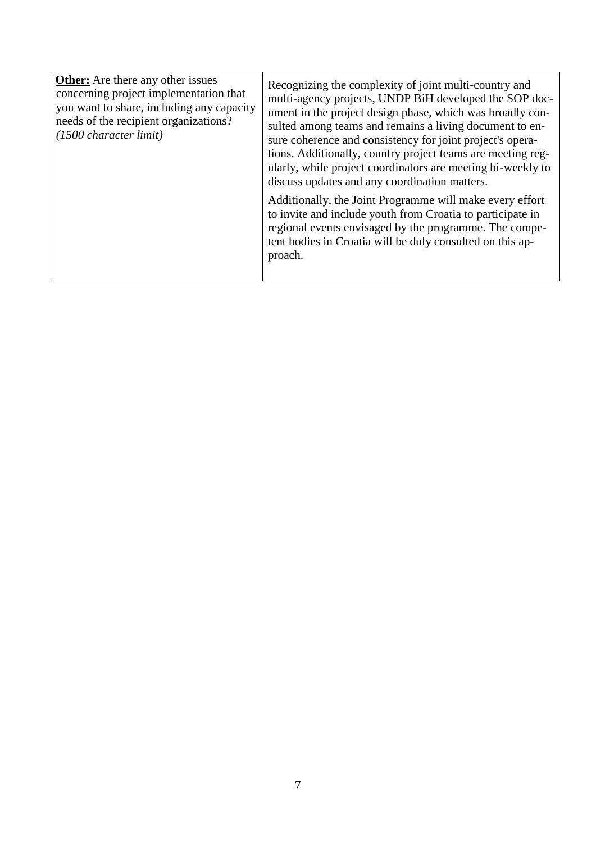| <b>Other:</b> Are there any other issues<br>concerning project implementation that<br>you want to share, including any capacity<br>needs of the recipient organizations?<br>(1500 character limit) | Recognizing the complexity of joint multi-country and<br>multi-agency projects, UNDP BiH developed the SOP doc-<br>ument in the project design phase, which was broadly con-<br>sulted among teams and remains a living document to en-<br>sure coherence and consistency for joint project's opera-<br>tions. Additionally, country project teams are meeting reg-<br>ularly, while project coordinators are meeting bi-weekly to<br>discuss updates and any coordination matters. |
|----------------------------------------------------------------------------------------------------------------------------------------------------------------------------------------------------|-------------------------------------------------------------------------------------------------------------------------------------------------------------------------------------------------------------------------------------------------------------------------------------------------------------------------------------------------------------------------------------------------------------------------------------------------------------------------------------|
|                                                                                                                                                                                                    | Additionally, the Joint Programme will make every effort<br>to invite and include youth from Croatia to participate in<br>regional events envisaged by the programme. The compe-<br>tent bodies in Croatia will be duly consulted on this ap-<br>proach.                                                                                                                                                                                                                            |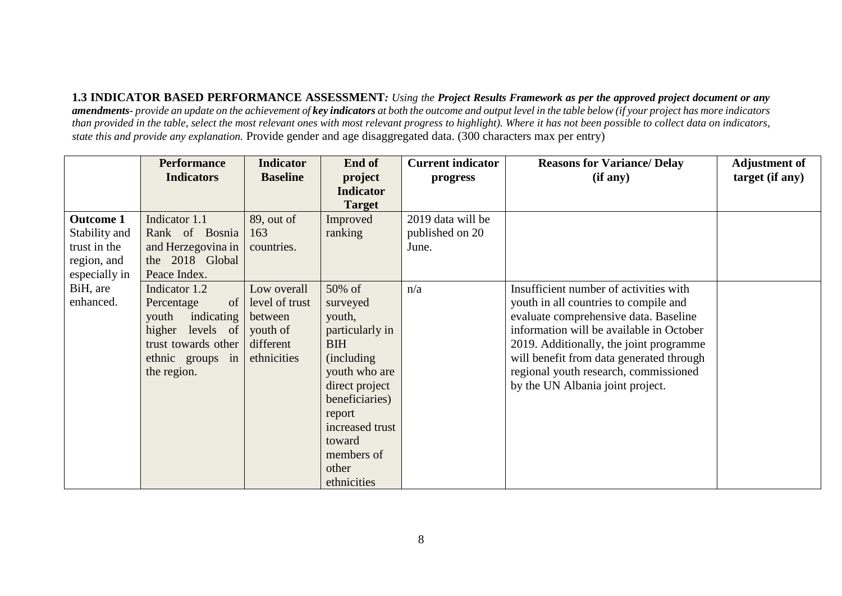**1.3 INDICATOR BASED PERFORMANCE ASSESSMENT***: Using the Project Results Framework as per the approved project document or any amendments- provide an update on the achievement of key indicators at both the outcome and output level in the table below (if your project has more indicators than provided in the table, select the most relevant ones with most relevant progress to highlight). Where it has not been possible to collect data on indicators, state this and provide any explanation.* Provide gender and age disaggregated data. (300 characters max per entry)

|                  | <b>Performance</b>             | <b>Indicator</b> | End of           | <b>Current indicator</b> | <b>Reasons for Variance/ Delay</b>       | <b>Adjustment of</b> |
|------------------|--------------------------------|------------------|------------------|--------------------------|------------------------------------------|----------------------|
|                  | <b>Indicators</b>              | <b>Baseline</b>  | project          | progress                 | (if any)                                 | target (if any)      |
|                  |                                |                  | <b>Indicator</b> |                          |                                          |                      |
|                  |                                |                  | <b>Target</b>    |                          |                                          |                      |
| <b>Outcome 1</b> | Indicator 1.1                  | 89, out of       | Improved         | 2019 data will be        |                                          |                      |
| Stability and    | Rank of Bosnia                 | 163              | ranking          | published on 20          |                                          |                      |
| trust in the     | and Herzegovina in             | countries.       |                  | June.                    |                                          |                      |
| region, and      | the 2018 Global                |                  |                  |                          |                                          |                      |
| especially in    | Peace Index.                   |                  |                  |                          |                                          |                      |
| BiH, are         | Indicator 1.2                  | Low overall      | 50% of           | n/a                      | Insufficient number of activities with   |                      |
| enhanced.        | $\left  \right $<br>Percentage | level of trust   | surveyed         |                          | youth in all countries to compile and    |                      |
|                  | indicating<br>youth            | between          | youth,           |                          | evaluate comprehensive data. Baseline    |                      |
|                  | higher levels of               | youth of         | particularly in  |                          | information will be available in October |                      |
|                  | trust towards other            | different        | <b>BIH</b>       |                          | 2019. Additionally, the joint programme  |                      |
|                  | ethnic groups in               | ethnicities      | (including)      |                          | will benefit from data generated through |                      |
|                  | the region.                    |                  | youth who are    |                          | regional youth research, commissioned    |                      |
|                  |                                |                  | direct project   |                          | by the UN Albania joint project.         |                      |
|                  |                                |                  | beneficiaries)   |                          |                                          |                      |
|                  |                                |                  | report           |                          |                                          |                      |
|                  |                                |                  | increased trust  |                          |                                          |                      |
|                  |                                |                  | toward           |                          |                                          |                      |
|                  |                                |                  | members of       |                          |                                          |                      |
|                  |                                |                  | other            |                          |                                          |                      |
|                  |                                |                  | ethnicities      |                          |                                          |                      |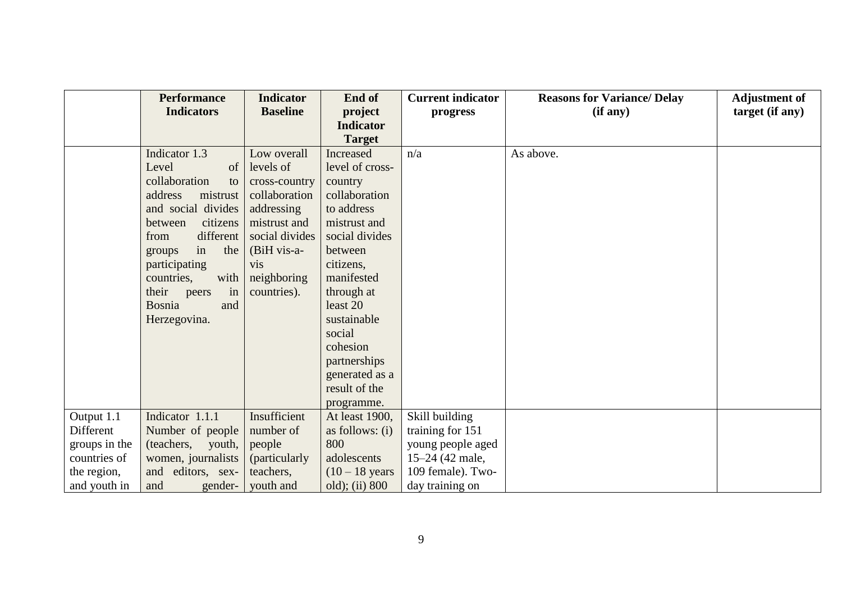|               | <b>Performance</b>   | <b>Indicator</b> | End of                  | <b>Current indicator</b> | <b>Reasons for Variance/ Delay</b> | <b>Adjustment of</b> |
|---------------|----------------------|------------------|-------------------------|--------------------------|------------------------------------|----------------------|
|               | <b>Indicators</b>    | <b>Baseline</b>  | project                 | progress                 | (if any)                           | target (if any)      |
|               |                      |                  | <b>Indicator</b>        |                          |                                    |                      |
|               |                      |                  | <b>Target</b>           |                          |                                    |                      |
|               | Indicator 1.3        | Low overall      | Increased               | n/a                      | As above.                          |                      |
|               | Level<br>of          | levels of        | level of cross-         |                          |                                    |                      |
|               | collaboration<br>to  | cross-country    | country                 |                          |                                    |                      |
|               | address<br>mistrust  | collaboration    | collaboration           |                          |                                    |                      |
|               | and social divides   | addressing       | to address              |                          |                                    |                      |
|               | citizens<br>between  | mistrust and     | mistrust and            |                          |                                    |                      |
|               | different<br>from    | social divides   | social divides          |                          |                                    |                      |
|               | the<br>in<br>groups  | (BiH vis-a-      | between                 |                          |                                    |                      |
|               | participating        | <b>vis</b>       | citizens,               |                          |                                    |                      |
|               | countries,<br>with   | neighboring      | manifested              |                          |                                    |                      |
|               | their<br>in<br>peers | countries).      | through at              |                          |                                    |                      |
|               | Bosnia<br>and        |                  | least 20                |                          |                                    |                      |
|               | Herzegovina.         |                  | sustainable             |                          |                                    |                      |
|               |                      |                  | social                  |                          |                                    |                      |
|               |                      |                  | cohesion                |                          |                                    |                      |
|               |                      |                  | partnerships            |                          |                                    |                      |
|               |                      |                  | generated as a          |                          |                                    |                      |
|               |                      |                  | result of the           |                          |                                    |                      |
|               |                      |                  | programme.              |                          |                                    |                      |
| Output 1.1    | Indicator 1.1.1      | Insufficient     | At least 1900,          | Skill building           |                                    |                      |
| Different     | Number of people     | number of        | as follows: $(i)$       | training for 151         |                                    |                      |
| groups in the | (teachers, youth,    | people           | 800                     | young people aged        |                                    |                      |
| countries of  | women, journalists   | (particularly)   | adolescents             | $15-24$ (42 male,        |                                    |                      |
| the region,   | and editors, sex-    | teachers,        | $(10-18 \text{ years})$ | 109 female). Two-        |                                    |                      |
| and youth in  | gender-<br>and       | youth and        | old); (ii) 800          | day training on          |                                    |                      |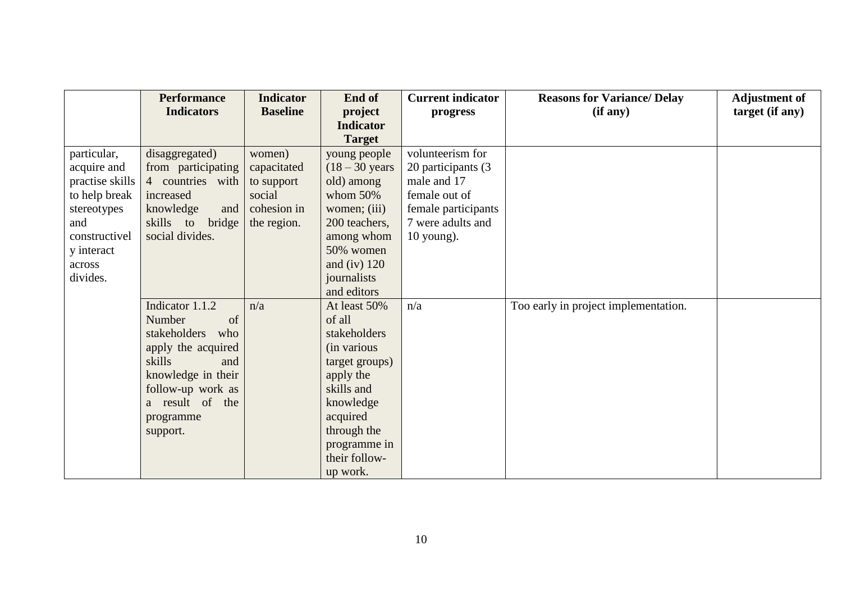|                 | <b>Performance</b>  | <b>Indicator</b> | End of                  | <b>Current indicator</b> | <b>Reasons for Variance/ Delay</b>   | <b>Adjustment of</b> |
|-----------------|---------------------|------------------|-------------------------|--------------------------|--------------------------------------|----------------------|
|                 | <b>Indicators</b>   | <b>Baseline</b>  | project                 | progress                 | (if any)                             | target (if any)      |
|                 |                     |                  | <b>Indicator</b>        |                          |                                      |                      |
|                 |                     |                  | <b>Target</b>           |                          |                                      |                      |
| particular,     | disaggregated)      | women)           | young people            | volunteerism for         |                                      |                      |
| acquire and     | from participating  | capacitated      | $(18-30 \text{ years})$ | 20 participants (3)      |                                      |                      |
| practise skills | 4 countries with    | to support       | old) among              | male and 17              |                                      |                      |
| to help break   | increased           | social           | whom $50\%$             | female out of            |                                      |                      |
| stereotypes     | knowledge<br>and    | cohesion in      | women; (iii)            | female participants      |                                      |                      |
| and             | skills to<br>bridge | the region.      | 200 teachers,           | 7 were adults and        |                                      |                      |
| constructivel   | social divides.     |                  | among whom              | $10$ young).             |                                      |                      |
| y interact      |                     |                  | 50% women               |                          |                                      |                      |
| across          |                     |                  | and (iv) $120$          |                          |                                      |                      |
| divides.        |                     |                  | journalists             |                          |                                      |                      |
|                 |                     |                  | and editors             |                          |                                      |                      |
|                 | Indicator 1.1.2     | n/a              | At least 50%            | n/a                      | Too early in project implementation. |                      |
|                 | Number<br>of        |                  | of all                  |                          |                                      |                      |
|                 | stakeholders<br>who |                  | stakeholders            |                          |                                      |                      |
|                 | apply the acquired  |                  | (in various             |                          |                                      |                      |
|                 | skills<br>and       |                  | target groups)          |                          |                                      |                      |
|                 | knowledge in their  |                  | apply the               |                          |                                      |                      |
|                 | follow-up work as   |                  | skills and              |                          |                                      |                      |
|                 | a result of the     |                  | knowledge               |                          |                                      |                      |
|                 | programme           |                  | acquired                |                          |                                      |                      |
|                 | support.            |                  | through the             |                          |                                      |                      |
|                 |                     |                  | programme in            |                          |                                      |                      |
|                 |                     |                  | their follow-           |                          |                                      |                      |
|                 |                     |                  | up work.                |                          |                                      |                      |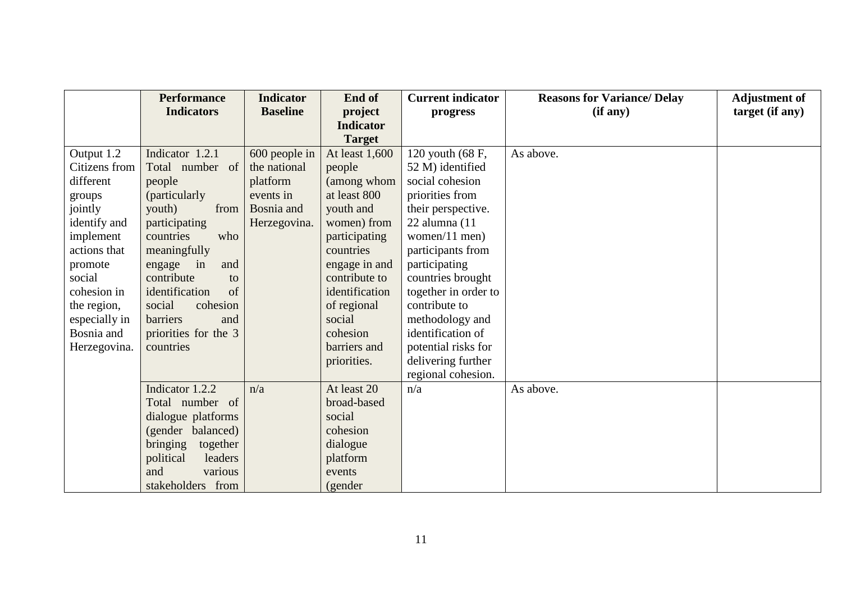|               | <b>Performance</b>   | <b>Indicator</b> | End of           | <b>Current indicator</b> | <b>Reasons for Variance/ Delay</b> | <b>Adjustment of</b> |
|---------------|----------------------|------------------|------------------|--------------------------|------------------------------------|----------------------|
|               | <b>Indicators</b>    | <b>Baseline</b>  | project          | progress                 | (if any)                           | target (if any)      |
|               |                      |                  | <b>Indicator</b> |                          |                                    |                      |
|               |                      |                  | <b>Target</b>    |                          |                                    |                      |
| Output 1.2    | Indicator 1.2.1      | 600 people in    | At least 1,600   | 120 youth (68 F,         | As above.                          |                      |
| Citizens from | Total number of      | the national     | people           | 52 M) identified         |                                    |                      |
| different     | people               | platform         | (among whom      | social cohesion          |                                    |                      |
| groups        | (particularly        | events in        | at least 800     | priorities from          |                                    |                      |
| jointly       | youth)<br>from       | Bosnia and       | youth and        | their perspective.       |                                    |                      |
| identify and  | participating        | Herzegovina.     | women) from      | 22 alumna (11            |                                    |                      |
| implement     | countries<br>who     |                  | participating    | women/11 men)            |                                    |                      |
| actions that  | meaningfully         |                  | countries        | participants from        |                                    |                      |
| promote       | engage in<br>and     |                  | engage in and    | participating            |                                    |                      |
| social        | contribute<br>to     |                  | contribute to    | countries brought        |                                    |                      |
| cohesion in   | identification<br>of |                  | identification   | together in order to     |                                    |                      |
| the region,   | social<br>cohesion   |                  | of regional      | contribute to            |                                    |                      |
| especially in | barriers<br>and      |                  | social           | methodology and          |                                    |                      |
| Bosnia and    | priorities for the 3 |                  | cohesion         | identification of        |                                    |                      |
| Herzegovina.  | countries            |                  | barriers and     | potential risks for      |                                    |                      |
|               |                      |                  | priorities.      | delivering further       |                                    |                      |
|               |                      |                  |                  | regional cohesion.       |                                    |                      |
|               | Indicator 1.2.2      | n/a              | At least 20      | n/a                      | As above.                          |                      |
|               | Total number of      |                  | broad-based      |                          |                                    |                      |
|               | dialogue platforms   |                  | social           |                          |                                    |                      |
|               | (gender balanced)    |                  | cohesion         |                          |                                    |                      |
|               | bringing<br>together |                  | dialogue         |                          |                                    |                      |
|               | political<br>leaders |                  | platform         |                          |                                    |                      |
|               | and<br>various       |                  | events           |                          |                                    |                      |
|               | stakeholders from    |                  | (gender          |                          |                                    |                      |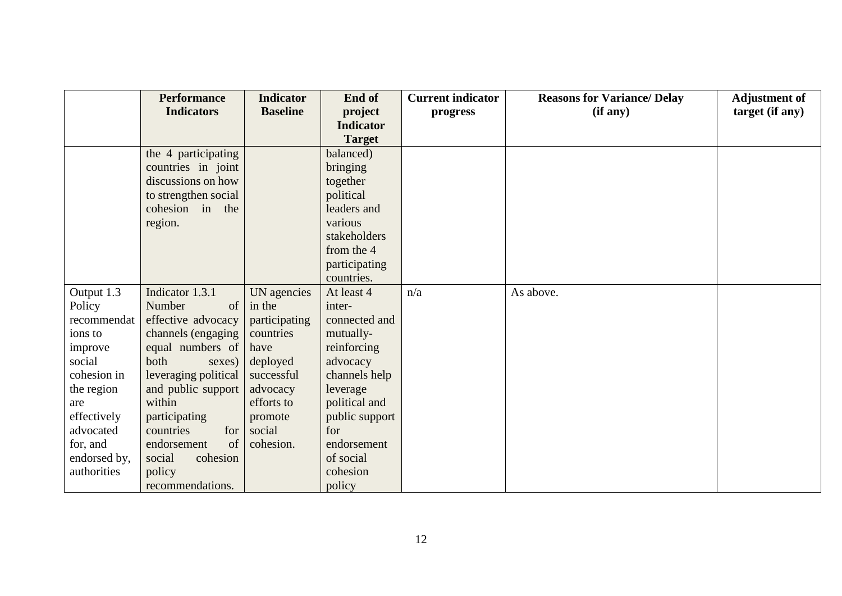|              | <b>Performance</b>   | <b>Indicator</b> | End of           | <b>Current indicator</b> | <b>Reasons for Variance/ Delay</b> | <b>Adjustment of</b> |
|--------------|----------------------|------------------|------------------|--------------------------|------------------------------------|----------------------|
|              | <b>Indicators</b>    | <b>Baseline</b>  | project          | progress                 | (if any)                           | target (if any)      |
|              |                      |                  | <b>Indicator</b> |                          |                                    |                      |
|              |                      |                  | <b>Target</b>    |                          |                                    |                      |
|              | the 4 participating  |                  | balanced)        |                          |                                    |                      |
|              | countries in joint   |                  | bringing         |                          |                                    |                      |
|              | discussions on how   |                  | together         |                          |                                    |                      |
|              | to strengthen social |                  | political        |                          |                                    |                      |
|              | cohesion in the      |                  | leaders and      |                          |                                    |                      |
|              | region.              |                  | various          |                          |                                    |                      |
|              |                      |                  | stakeholders     |                          |                                    |                      |
|              |                      |                  | from the 4       |                          |                                    |                      |
|              |                      |                  | participating    |                          |                                    |                      |
|              |                      |                  | countries.       |                          |                                    |                      |
| Output 1.3   | Indicator 1.3.1      | UN agencies      | At least 4       | n/a                      | As above.                          |                      |
| Policy       | Number<br>of         | in the           | inter-           |                          |                                    |                      |
| recommendat  | effective advocacy   | participating    | connected and    |                          |                                    |                      |
| ions to      | channels (engaging   | countries        | mutually-        |                          |                                    |                      |
| improve      | equal numbers of     | have             | reinforcing      |                          |                                    |                      |
| social       | both<br>sexes)       | deployed         | advocacy         |                          |                                    |                      |
| cohesion in  | leveraging political | successful       | channels help    |                          |                                    |                      |
| the region   | and public support   | advocacy         | leverage         |                          |                                    |                      |
| are          | within               | efforts to       | political and    |                          |                                    |                      |
| effectively  | participating        | promote          | public support   |                          |                                    |                      |
| advocated    | countries<br>for     | social           | for              |                          |                                    |                      |
| for, and     | of a<br>endorsement  | cohesion.        | endorsement      |                          |                                    |                      |
| endorsed by, | social<br>cohesion   |                  | of social        |                          |                                    |                      |
| authorities  | policy               |                  | cohesion         |                          |                                    |                      |
|              | recommendations.     |                  | policy           |                          |                                    |                      |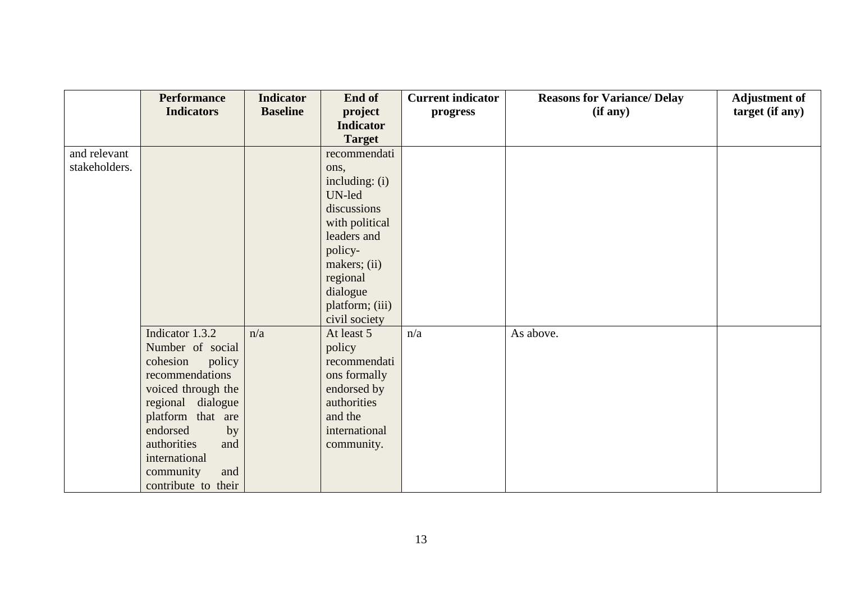|               | <b>Performance</b>  | <b>Indicator</b> | End of           | <b>Current indicator</b> | <b>Reasons for Variance/ Delay</b> | <b>Adjustment of</b> |
|---------------|---------------------|------------------|------------------|--------------------------|------------------------------------|----------------------|
|               | <b>Indicators</b>   | <b>Baseline</b>  | project          | progress                 | (if any)                           | target (if any)      |
|               |                     |                  | <b>Indicator</b> |                          |                                    |                      |
|               |                     |                  | <b>Target</b>    |                          |                                    |                      |
| and relevant  |                     |                  | recommendati     |                          |                                    |                      |
| stakeholders. |                     |                  | ons,             |                          |                                    |                      |
|               |                     |                  | including: (i)   |                          |                                    |                      |
|               |                     |                  | UN-led           |                          |                                    |                      |
|               |                     |                  | discussions      |                          |                                    |                      |
|               |                     |                  | with political   |                          |                                    |                      |
|               |                     |                  | leaders and      |                          |                                    |                      |
|               |                     |                  | policy-          |                          |                                    |                      |
|               |                     |                  | makers; (ii)     |                          |                                    |                      |
|               |                     |                  | regional         |                          |                                    |                      |
|               |                     |                  | dialogue         |                          |                                    |                      |
|               |                     |                  | platform; (iii)  |                          |                                    |                      |
|               |                     |                  | civil society    |                          |                                    |                      |
|               | Indicator 1.3.2     | n/a              | At least 5       | n/a                      | As above.                          |                      |
|               | Number of social    |                  | policy           |                          |                                    |                      |
|               | cohesion<br>policy  |                  | recommendati     |                          |                                    |                      |
|               | recommendations     |                  | ons formally     |                          |                                    |                      |
|               | voiced through the  |                  | endorsed by      |                          |                                    |                      |
|               | regional dialogue   |                  | authorities      |                          |                                    |                      |
|               | platform that are   |                  | and the          |                          |                                    |                      |
|               | endorsed<br>by      |                  | international    |                          |                                    |                      |
|               | authorities<br>and  |                  | community.       |                          |                                    |                      |
|               | international       |                  |                  |                          |                                    |                      |
|               | community<br>and    |                  |                  |                          |                                    |                      |
|               | contribute to their |                  |                  |                          |                                    |                      |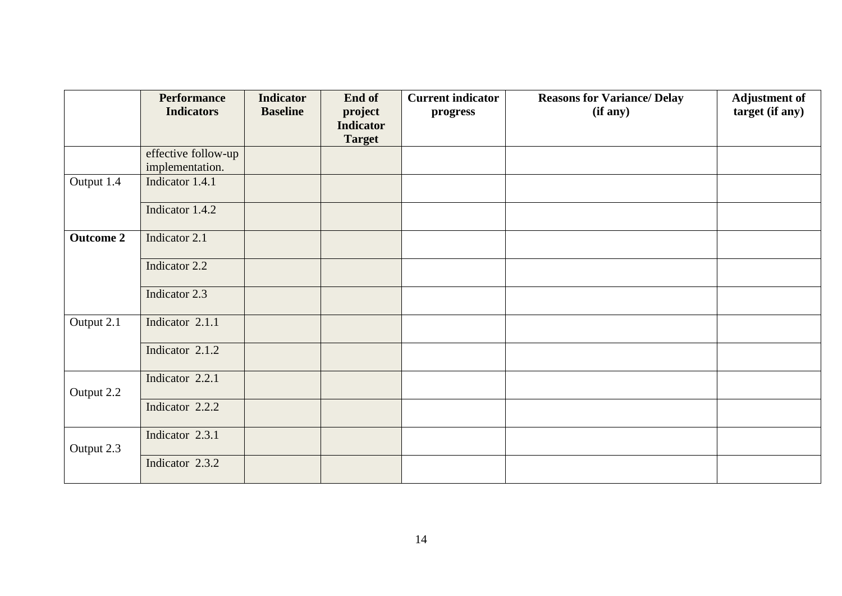|                  | <b>Performance</b><br><b>Indicators</b> | <b>Indicator</b><br><b>Baseline</b> | End of<br>project<br><b>Indicator</b><br><b>Target</b> | <b>Current indicator</b><br>progress | <b>Reasons for Variance/ Delay</b><br>(if any) | <b>Adjustment of</b><br>target (if any) |
|------------------|-----------------------------------------|-------------------------------------|--------------------------------------------------------|--------------------------------------|------------------------------------------------|-----------------------------------------|
|                  | effective follow-up<br>implementation.  |                                     |                                                        |                                      |                                                |                                         |
| Output 1.4       | Indicator 1.4.1                         |                                     |                                                        |                                      |                                                |                                         |
|                  | Indicator 1.4.2                         |                                     |                                                        |                                      |                                                |                                         |
| <b>Outcome 2</b> | Indicator 2.1                           |                                     |                                                        |                                      |                                                |                                         |
|                  | Indicator 2.2                           |                                     |                                                        |                                      |                                                |                                         |
|                  | Indicator 2.3                           |                                     |                                                        |                                      |                                                |                                         |
| Output 2.1       | Indicator 2.1.1                         |                                     |                                                        |                                      |                                                |                                         |
|                  | Indicator 2.1.2                         |                                     |                                                        |                                      |                                                |                                         |
| Output 2.2       | Indicator 2.2.1                         |                                     |                                                        |                                      |                                                |                                         |
|                  | Indicator 2.2.2                         |                                     |                                                        |                                      |                                                |                                         |
| Output 2.3       | Indicator 2.3.1                         |                                     |                                                        |                                      |                                                |                                         |
|                  | Indicator 2.3.2                         |                                     |                                                        |                                      |                                                |                                         |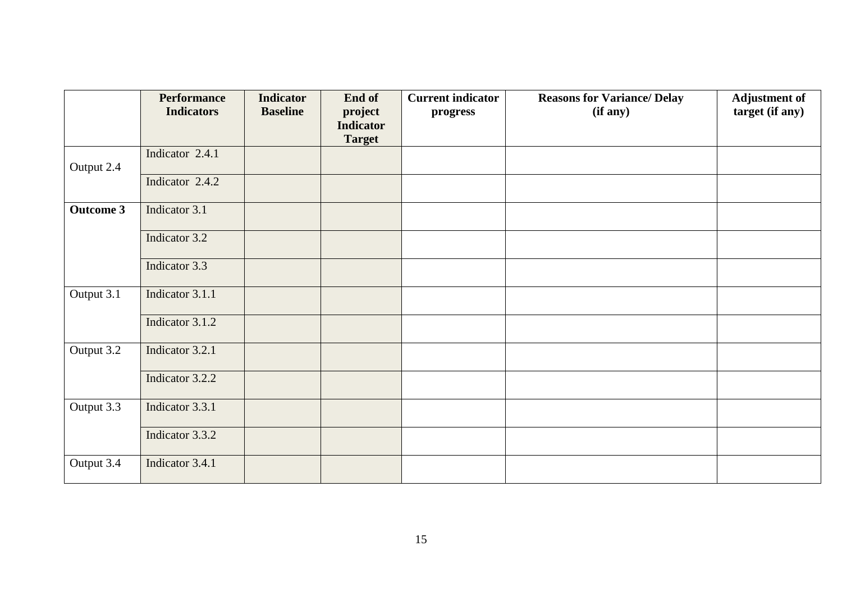|                  | <b>Performance</b><br><b>Indicators</b> | <b>Indicator</b><br><b>Baseline</b> | End of<br>project<br><b>Indicator</b><br><b>Target</b> | <b>Current indicator</b><br>progress | <b>Reasons for Variance/ Delay</b><br>(if any) | <b>Adjustment of</b><br>target (if any) |
|------------------|-----------------------------------------|-------------------------------------|--------------------------------------------------------|--------------------------------------|------------------------------------------------|-----------------------------------------|
| Output 2.4       | Indicator 2.4.1                         |                                     |                                                        |                                      |                                                |                                         |
|                  | Indicator 2.4.2                         |                                     |                                                        |                                      |                                                |                                         |
| <b>Outcome 3</b> | Indicator 3.1                           |                                     |                                                        |                                      |                                                |                                         |
|                  | Indicator 3.2                           |                                     |                                                        |                                      |                                                |                                         |
|                  | Indicator 3.3                           |                                     |                                                        |                                      |                                                |                                         |
| Output 3.1       | Indicator 3.1.1                         |                                     |                                                        |                                      |                                                |                                         |
|                  | Indicator 3.1.2                         |                                     |                                                        |                                      |                                                |                                         |
| Output 3.2       | Indicator 3.2.1                         |                                     |                                                        |                                      |                                                |                                         |
|                  | Indicator 3.2.2                         |                                     |                                                        |                                      |                                                |                                         |
| Output 3.3       | Indicator 3.3.1                         |                                     |                                                        |                                      |                                                |                                         |
|                  | Indicator 3.3.2                         |                                     |                                                        |                                      |                                                |                                         |
| Output 3.4       | Indicator 3.4.1                         |                                     |                                                        |                                      |                                                |                                         |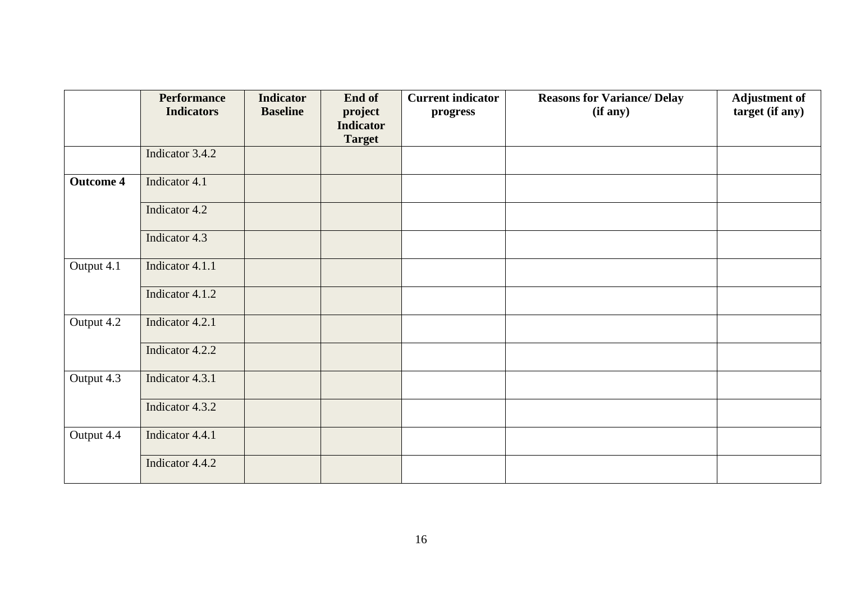|                  | <b>Performance</b><br><b>Indicators</b> | <b>Indicator</b><br><b>Baseline</b> | End of<br>project<br><b>Indicator</b><br><b>Target</b> | <b>Current indicator</b><br>progress | <b>Reasons for Variance/ Delay</b><br>(if any) | <b>Adjustment of</b><br>target (if any) |
|------------------|-----------------------------------------|-------------------------------------|--------------------------------------------------------|--------------------------------------|------------------------------------------------|-----------------------------------------|
|                  | Indicator 3.4.2                         |                                     |                                                        |                                      |                                                |                                         |
| <b>Outcome 4</b> | Indicator 4.1                           |                                     |                                                        |                                      |                                                |                                         |
|                  | Indicator 4.2                           |                                     |                                                        |                                      |                                                |                                         |
|                  | Indicator 4.3                           |                                     |                                                        |                                      |                                                |                                         |
| Output 4.1       | Indicator 4.1.1                         |                                     |                                                        |                                      |                                                |                                         |
|                  | Indicator 4.1.2                         |                                     |                                                        |                                      |                                                |                                         |
| Output 4.2       | Indicator 4.2.1                         |                                     |                                                        |                                      |                                                |                                         |
|                  | Indicator 4.2.2                         |                                     |                                                        |                                      |                                                |                                         |
| Output 4.3       | Indicator 4.3.1                         |                                     |                                                        |                                      |                                                |                                         |
|                  | Indicator 4.3.2                         |                                     |                                                        |                                      |                                                |                                         |
| Output 4.4       | Indicator 4.4.1                         |                                     |                                                        |                                      |                                                |                                         |
|                  | Indicator 4.4.2                         |                                     |                                                        |                                      |                                                |                                         |